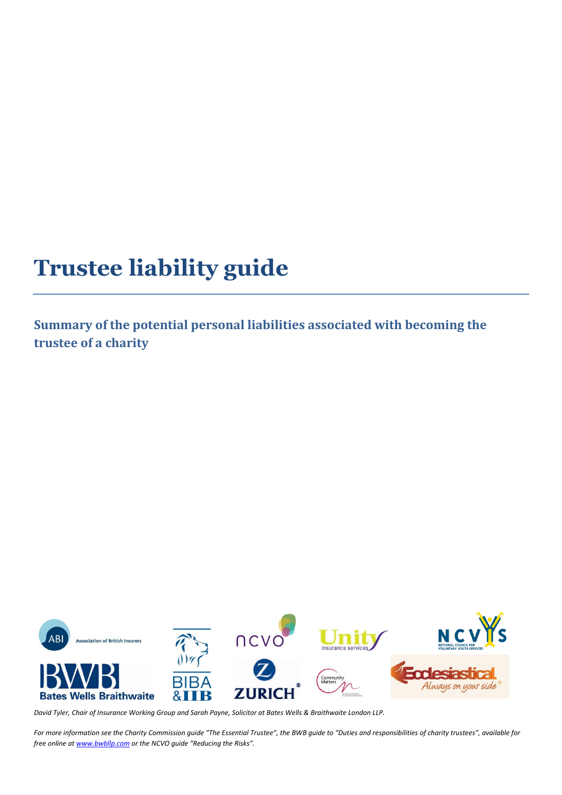# **Trustee liability guide**

**Summary of the potential personal liabilities associated with becoming the trustee of a charity**



*David Tyler, Chair of Insurance Working Group and Sarah Payne, Solicitor at Bates Wells & Braithwaite London LLP.* 

*For more information see the Charity Commission guide "The Essential Trustee", the BWB guide to "Duties and responsibilities of charity trustees", available for free online at [www.bwbllp.com](http://www.bwbllp.com/) or the NCVO guide "Reducing the Risks".*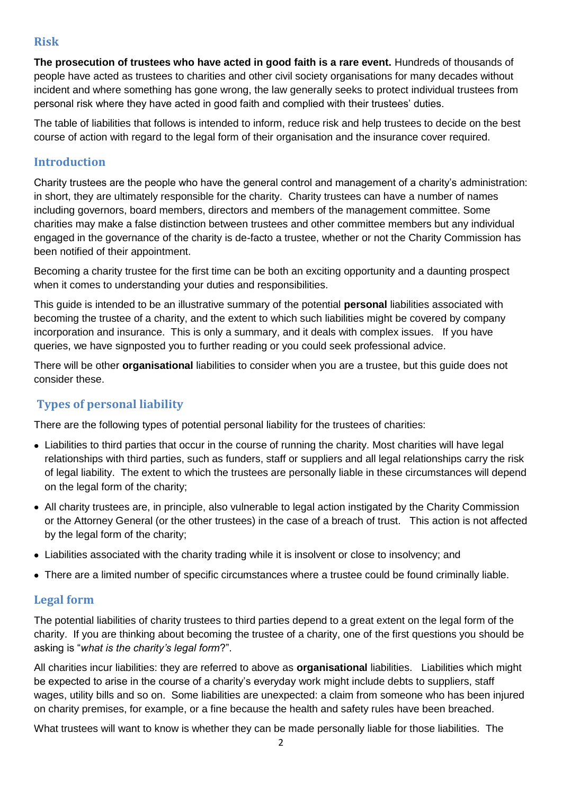#### **Risk**

**The prosecution of trustees who have acted in good faith is a rare event.** Hundreds of thousands of people have acted as trustees to charities and other civil society organisations for many decades without incident and where something has gone wrong, the law generally seeks to protect individual trustees from personal risk where they have acted in good faith and complied with their trustees' duties.

The table of liabilities that follows is intended to inform, reduce risk and help trustees to decide on the best course of action with regard to the legal form of their organisation and the insurance cover required.

#### **Introduction**

Charity trustees are the people who have the general control and management of a charity's administration: in short, they are ultimately responsible for the charity. Charity trustees can have a number of names including governors, board members, directors and members of the management committee. Some charities may make a false distinction between trustees and other committee members but any individual engaged in the governance of the charity is de-facto a trustee, whether or not the Charity Commission has been notified of their appointment.

Becoming a charity trustee for the first time can be both an exciting opportunity and a daunting prospect when it comes to understanding your duties and responsibilities.

This guide is intended to be an illustrative summary of the potential **personal** liabilities associated with becoming the trustee of a charity, and the extent to which such liabilities might be covered by company incorporation and insurance. This is only a summary, and it deals with complex issues. If you have queries, we have signposted you to further reading or you could seek professional advice.

There will be other **organisational** liabilities to consider when you are a trustee, but this guide does not consider these.

#### **Types of personal liability**

There are the following types of potential personal liability for the trustees of charities:

- Liabilities to third parties that occur in the course of running the charity. Most charities will have legal relationships with third parties, such as funders, staff or suppliers and all legal relationships carry the risk of legal liability. The extent to which the trustees are personally liable in these circumstances will depend on the legal form of the charity;
- All charity trustees are, in principle, also vulnerable to legal action instigated by the Charity Commission or the Attorney General (or the other trustees) in the case of a breach of trust. This action is not affected by the legal form of the charity;
- Liabilities associated with the charity trading while it is insolvent or close to insolvency; and
- There are a limited number of specific circumstances where a trustee could be found criminally liable.

#### **Legal form**

The potential liabilities of charity trustees to third parties depend to a great extent on the legal form of the charity. If you are thinking about becoming the trustee of a charity, one of the first questions you should be asking is "*what is the charity's legal form*?".

All charities incur liabilities: they are referred to above as **organisational** liabilities. Liabilities which might be expected to arise in the course of a charity's everyday work might include debts to suppliers, staff wages, utility bills and so on. Some liabilities are unexpected: a claim from someone who has been injured on charity premises, for example, or a fine because the health and safety rules have been breached.

What trustees will want to know is whether they can be made personally liable for those liabilities. The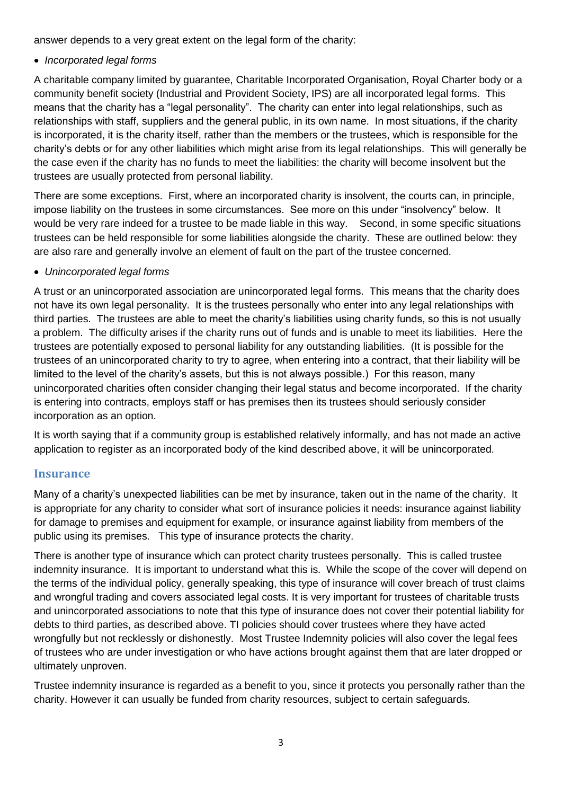answer depends to a very great extent on the legal form of the charity:

*Incorporated legal forms*

A charitable company limited by guarantee, Charitable Incorporated Organisation, Royal Charter body or a community benefit society (Industrial and Provident Society, IPS) are all incorporated legal forms. This means that the charity has a "legal personality". The charity can enter into legal relationships, such as relationships with staff, suppliers and the general public, in its own name. In most situations, if the charity is incorporated, it is the charity itself, rather than the members or the trustees, which is responsible for the charity's debts or for any other liabilities which might arise from its legal relationships. This will generally be the case even if the charity has no funds to meet the liabilities: the charity will become insolvent but the trustees are usually protected from personal liability.

There are some exceptions. First, where an incorporated charity is insolvent, the courts can, in principle, impose liability on the trustees in some circumstances. See more on this under "insolvency" below. It would be very rare indeed for a trustee to be made liable in this way. Second, in some specific situations trustees can be held responsible for some liabilities alongside the charity. These are outlined below: they are also rare and generally involve an element of fault on the part of the trustee concerned.

*Unincorporated legal forms*

A trust or an unincorporated association are unincorporated legal forms. This means that the charity does not have its own legal personality. It is the trustees personally who enter into any legal relationships with third parties. The trustees are able to meet the charity's liabilities using charity funds, so this is not usually a problem. The difficulty arises if the charity runs out of funds and is unable to meet its liabilities. Here the trustees are potentially exposed to personal liability for any outstanding liabilities. (It is possible for the trustees of an unincorporated charity to try to agree, when entering into a contract, that their liability will be limited to the level of the charity's assets, but this is not always possible.) For this reason, many unincorporated charities often consider changing their legal status and become incorporated. If the charity is entering into contracts, employs staff or has premises then its trustees should seriously consider incorporation as an option.

It is worth saying that if a community group is established relatively informally, and has not made an active application to register as an incorporated body of the kind described above, it will be unincorporated.

#### **Insurance**

Many of a charity's unexpected liabilities can be met by insurance, taken out in the name of the charity. It is appropriate for any charity to consider what sort of insurance policies it needs: insurance against liability for damage to premises and equipment for example, or insurance against liability from members of the public using its premises. This type of insurance protects the charity.

There is another type of insurance which can protect charity trustees personally. This is called trustee indemnity insurance. It is important to understand what this is. While the scope of the cover will depend on the terms of the individual policy, generally speaking, this type of insurance will cover breach of trust claims and wrongful trading and covers associated legal costs. It is very important for trustees of charitable trusts and unincorporated associations to note that this type of insurance does not cover their potential liability for debts to third parties, as described above. TI policies should cover trustees where they have acted wrongfully but not recklessly or dishonestly. Most Trustee Indemnity policies will also cover the legal fees of trustees who are under investigation or who have actions brought against them that are later dropped or ultimately unproven.

Trustee indemnity insurance is regarded as a benefit to you, since it protects you personally rather than the charity. However it can usually be funded from charity resources, subject to certain safeguards.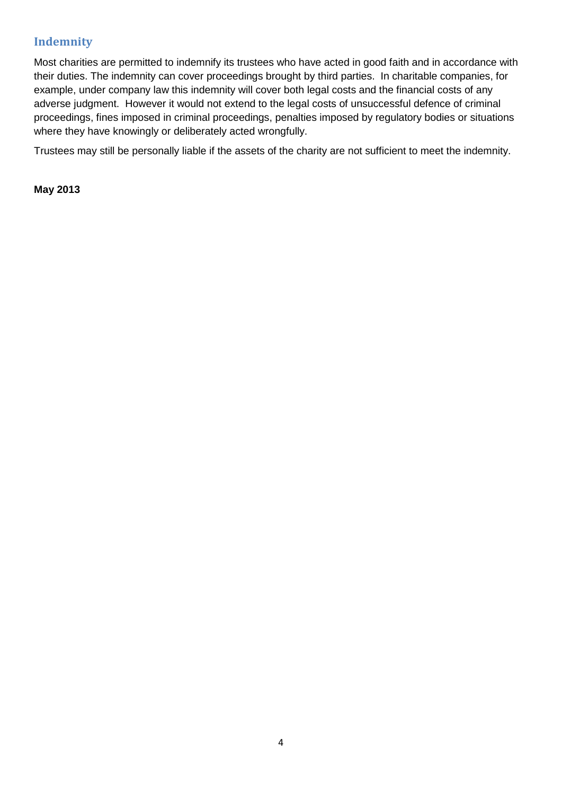### **Indemnity**

Most charities are permitted to indemnify its trustees who have acted in good faith and in accordance with their duties. The indemnity can cover proceedings brought by third parties. In charitable companies, for example, under company law this indemnity will cover both legal costs and the financial costs of any adverse judgment. However it would not extend to the legal costs of unsuccessful defence of criminal proceedings, fines imposed in criminal proceedings, penalties imposed by regulatory bodies or situations where they have knowingly or deliberately acted wrongfully.

Trustees may still be personally liable if the assets of the charity are not sufficient to meet the indemnity.

**May 2013**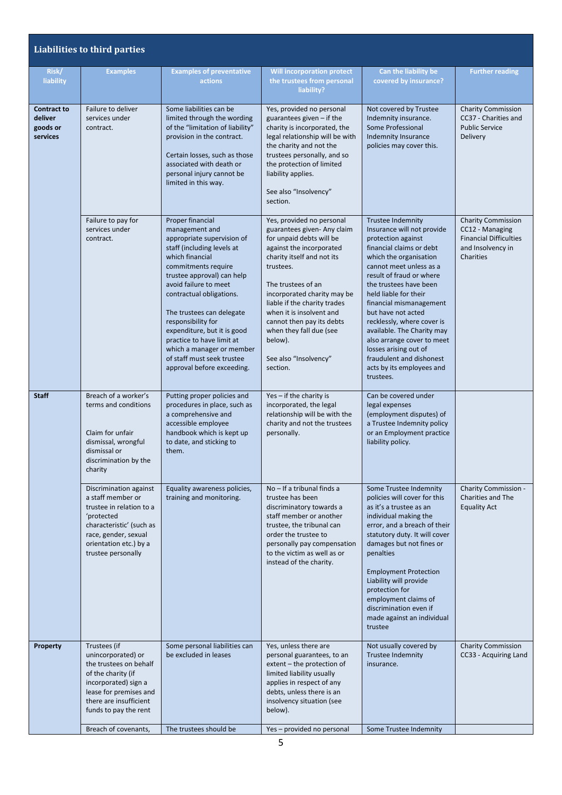|                                                       | <b>Liabilities to third parties</b>                                                                                                                                                       |                                                                                                                                                                                                                                                                                                                                                                                                                                     |                                                                                                                                                                                                                                                                                                                                                                                      |                                                                                                                                                                                                                                                                                                                                                                                                                                                                                        |                                                                                                          |
|-------------------------------------------------------|-------------------------------------------------------------------------------------------------------------------------------------------------------------------------------------------|-------------------------------------------------------------------------------------------------------------------------------------------------------------------------------------------------------------------------------------------------------------------------------------------------------------------------------------------------------------------------------------------------------------------------------------|--------------------------------------------------------------------------------------------------------------------------------------------------------------------------------------------------------------------------------------------------------------------------------------------------------------------------------------------------------------------------------------|----------------------------------------------------------------------------------------------------------------------------------------------------------------------------------------------------------------------------------------------------------------------------------------------------------------------------------------------------------------------------------------------------------------------------------------------------------------------------------------|----------------------------------------------------------------------------------------------------------|
| Risk/<br>liability                                    | <b>Examples</b>                                                                                                                                                                           | <b>Examples of preventative</b><br>actions                                                                                                                                                                                                                                                                                                                                                                                          | <b>Will incorporation protect</b><br>the trustees from personal<br>liability?                                                                                                                                                                                                                                                                                                        | Can the liability be<br>covered by insurance?                                                                                                                                                                                                                                                                                                                                                                                                                                          | <b>Further reading</b>                                                                                   |
| <b>Contract to</b><br>deliver<br>goods or<br>services | Failure to deliver<br>services under<br>contract.                                                                                                                                         | Some liabilities can be<br>limited through the wording<br>of the "limitation of liability"<br>provision in the contract.<br>Certain losses, such as those<br>associated with death or<br>personal injury cannot be<br>limited in this way.                                                                                                                                                                                          | Yes, provided no personal<br>guarantees given - if the<br>charity is incorporated, the<br>legal relationship will be with<br>the charity and not the<br>trustees personally, and so<br>the protection of limited<br>liability applies.<br>See also "Insolvency"<br>section.                                                                                                          | Not covered by Trustee<br>Indemnity insurance.<br>Some Professional<br><b>Indemnity Insurance</b><br>policies may cover this.                                                                                                                                                                                                                                                                                                                                                          | <b>Charity Commission</b><br>CC37 - Charities and<br><b>Public Service</b><br>Delivery                   |
|                                                       | Failure to pay for<br>services under<br>contract.                                                                                                                                         | Proper financial<br>management and<br>appropriate supervision of<br>staff (including levels at<br>which financial<br>commitments require<br>trustee approval) can help<br>avoid failure to meet<br>contractual obligations.<br>The trustees can delegate<br>responsibility for<br>expenditure, but it is good<br>practice to have limit at<br>which a manager or member<br>of staff must seek trustee<br>approval before exceeding. | Yes, provided no personal<br>guarantees given- Any claim<br>for unpaid debts will be<br>against the incorporated<br>charity itself and not its<br>trustees.<br>The trustees of an<br>incorporated charity may be<br>liable if the charity trades<br>when it is insolvent and<br>cannot then pay its debts<br>when they fall due (see<br>below).<br>See also "Insolvency"<br>section. | <b>Trustee Indemnity</b><br>Insurance will not provide<br>protection against<br>financial claims or debt<br>which the organisation<br>cannot meet unless as a<br>result of fraud or where<br>the trustees have been<br>held liable for their<br>financial mismanagement<br>but have not acted<br>recklessly, where cover is<br>available. The Charity may<br>also arrange cover to meet<br>losses arising out of<br>fraudulent and dishonest<br>acts by its employees and<br>trustees. | Charity Commission<br>CC12 - Managing<br><b>Financial Difficulties</b><br>and Insolvency in<br>Charities |
| <b>Staff</b>                                          | Breach of a worker's<br>terms and conditions<br>Claim for unfair<br>dismissal, wrongful<br>dismissal or<br>discrimination by the<br>charity                                               | Putting proper policies and<br>procedures in place, such as<br>a comprehensive and<br>accessible employee<br>handbook which is kept up<br>to date, and sticking to<br>them.                                                                                                                                                                                                                                                         | Yes - if the charity is<br>incorporated, the legal<br>relationship will be with the<br>charity and not the trustees<br>personally.                                                                                                                                                                                                                                                   | Can be covered under<br>legal expenses<br>(employment disputes) of<br>a Trustee Indemnity policy<br>or an Employment practice<br>liability policy.                                                                                                                                                                                                                                                                                                                                     |                                                                                                          |
|                                                       | Discrimination against<br>a staff member or<br>trustee in relation to a<br>'protected<br>characteristic' (such as<br>race, gender, sexual<br>orientation etc.) by a<br>trustee personally | Equality awareness policies,<br>training and monitoring.                                                                                                                                                                                                                                                                                                                                                                            | No - If a tribunal finds a<br>trustee has been<br>discriminatory towards a<br>staff member or another<br>trustee, the tribunal can<br>order the trustee to<br>personally pay compensation<br>to the victim as well as or<br>instead of the charity.                                                                                                                                  | Some Trustee Indemnity<br>policies will cover for this<br>as it's a trustee as an<br>individual making the<br>error, and a breach of their<br>statutory duty. It will cover<br>damages but not fines or<br>penalties<br><b>Employment Protection</b><br>Liability will provide<br>protection for<br>employment claims of<br>discrimination even if<br>made against an individual<br>trustee                                                                                            | Charity Commission -<br>Charities and The<br><b>Equality Act</b>                                         |
| <b>Property</b>                                       | Trustees (if<br>unincorporated) or<br>the trustees on behalf<br>of the charity (if<br>incorporated) sign a<br>lease for premises and<br>there are insufficient<br>funds to pay the rent   | Some personal liabilities can<br>be excluded in leases                                                                                                                                                                                                                                                                                                                                                                              | Yes, unless there are<br>personal guarantees, to an<br>extent - the protection of<br>limited liability usually<br>applies in respect of any<br>debts, unless there is an<br>insolvency situation (see<br>below).                                                                                                                                                                     | Not usually covered by<br><b>Trustee Indemnity</b><br>insurance.                                                                                                                                                                                                                                                                                                                                                                                                                       | <b>Charity Commission</b><br>CC33 - Acquiring Land                                                       |
|                                                       | Breach of covenants,                                                                                                                                                                      | The trustees should be                                                                                                                                                                                                                                                                                                                                                                                                              | Yes-provided no personal                                                                                                                                                                                                                                                                                                                                                             | Some Trustee Indemnity                                                                                                                                                                                                                                                                                                                                                                                                                                                                 |                                                                                                          |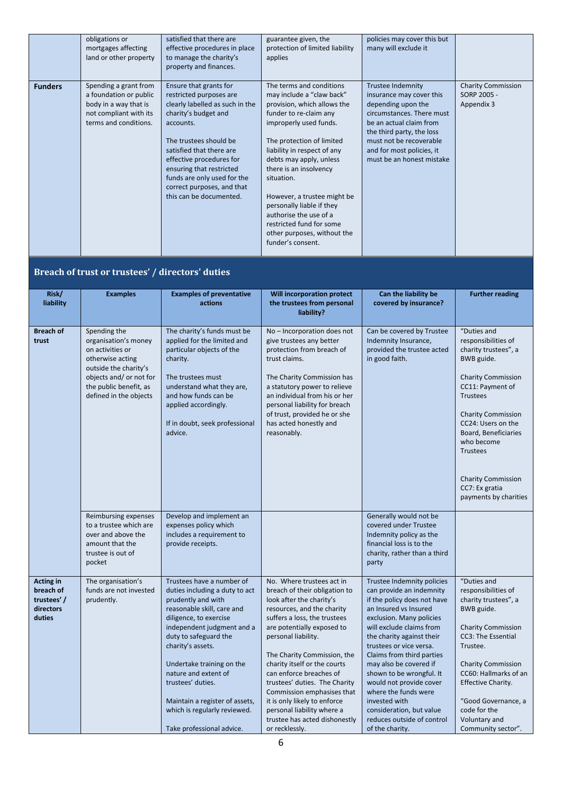|                | obligations or<br>mortgages affecting<br>land or other property                                                             | satisfied that there are<br>effective procedures in place<br>to manage the charity's<br>property and finances.                                                                                                                                                                                                                  | guarantee given, the<br>protection of limited liability<br>applies                                                                                                                                                                                                                                                                                                                                                                            | policies may cover this but<br>many will exclude it                                                                                                                                                                                                  |                                                        |
|----------------|-----------------------------------------------------------------------------------------------------------------------------|---------------------------------------------------------------------------------------------------------------------------------------------------------------------------------------------------------------------------------------------------------------------------------------------------------------------------------|-----------------------------------------------------------------------------------------------------------------------------------------------------------------------------------------------------------------------------------------------------------------------------------------------------------------------------------------------------------------------------------------------------------------------------------------------|------------------------------------------------------------------------------------------------------------------------------------------------------------------------------------------------------------------------------------------------------|--------------------------------------------------------|
| <b>Funders</b> | Spending a grant from<br>a foundation or public<br>body in a way that is<br>not compliant with its<br>terms and conditions. | Ensure that grants for<br>restricted purposes are<br>clearly labelled as such in the<br>charity's budget and<br>accounts.<br>The trustees should be<br>satisfied that there are<br>effective procedures for<br>ensuring that restricted<br>funds are only used for the<br>correct purposes, and that<br>this can be documented. | The terms and conditions<br>may include a "claw back"<br>provision, which allows the<br>funder to re-claim any<br>improperly used funds.<br>The protection of limited<br>liability in respect of any<br>debts may apply, unless<br>there is an insolvency<br>situation.<br>However, a trustee might be<br>personally liable if they<br>authorise the use of a<br>restricted fund for some<br>other purposes, without the<br>funder's consent. | <b>Trustee Indemnity</b><br>insurance may cover this<br>depending upon the<br>circumstances. There must<br>be an actual claim from<br>the third party, the loss<br>must not be recoverable<br>and for most policies, it<br>must be an honest mistake | <b>Charity Commission</b><br>SORP 2005 -<br>Appendix 3 |

#### **Breach of trust or trustees' / directors' duties**

| Risk/<br>liability                                                 | <b>Examples</b>                                                                                                                                                                      | <b>Examples of preventative</b><br>actions                                                                                                                                                                                                                                                                                                                                                     | Will incorporation protect<br>the trustees from personal<br>liability?                                                                                                                                                                                                                                                                                                                                                                                                              | Can the liability be<br>covered by insurance?                                                                                                                                                                                                                                                                                                                                                                                                                      | <b>Further reading</b>                                                                                                                                                                                                                                                                                                           |
|--------------------------------------------------------------------|--------------------------------------------------------------------------------------------------------------------------------------------------------------------------------------|------------------------------------------------------------------------------------------------------------------------------------------------------------------------------------------------------------------------------------------------------------------------------------------------------------------------------------------------------------------------------------------------|-------------------------------------------------------------------------------------------------------------------------------------------------------------------------------------------------------------------------------------------------------------------------------------------------------------------------------------------------------------------------------------------------------------------------------------------------------------------------------------|--------------------------------------------------------------------------------------------------------------------------------------------------------------------------------------------------------------------------------------------------------------------------------------------------------------------------------------------------------------------------------------------------------------------------------------------------------------------|----------------------------------------------------------------------------------------------------------------------------------------------------------------------------------------------------------------------------------------------------------------------------------------------------------------------------------|
| <b>Breach of</b><br>trust                                          | Spending the<br>organisation's money<br>on activities or<br>otherwise acting<br>outside the charity's<br>objects and/ or not for<br>the public benefit, as<br>defined in the objects | The charity's funds must be<br>applied for the limited and<br>particular objects of the<br>charity.<br>The trustees must<br>understand what they are,<br>and how funds can be<br>applied accordingly.<br>If in doubt, seek professional<br>advice.                                                                                                                                             | No - Incorporation does not<br>give trustees any better<br>protection from breach of<br>trust claims.<br>The Charity Commission has<br>a statutory power to relieve<br>an individual from his or her<br>personal liability for breach<br>of trust, provided he or she<br>has acted honestly and<br>reasonably.                                                                                                                                                                      | Can be covered by Trustee<br>Indemnity Insurance,<br>provided the trustee acted<br>in good faith.                                                                                                                                                                                                                                                                                                                                                                  | "Duties and<br>responsibilities of<br>charity trustees", a<br>BWB guide.<br><b>Charity Commission</b><br>CC11: Payment of<br><b>Trustees</b><br><b>Charity Commission</b><br>CC24: Users on the<br>Board, Beneficiaries<br>who become<br><b>Trustees</b><br><b>Charity Commission</b><br>CC7: Ex gratia<br>payments by charities |
|                                                                    | Reimbursing expenses<br>to a trustee which are<br>over and above the<br>amount that the<br>trustee is out of<br>pocket                                                               | Develop and implement an<br>expenses policy which<br>includes a requirement to<br>provide receipts.                                                                                                                                                                                                                                                                                            |                                                                                                                                                                                                                                                                                                                                                                                                                                                                                     | Generally would not be<br>covered under Trustee<br>Indemnity policy as the<br>financial loss is to the<br>charity, rather than a third<br>party                                                                                                                                                                                                                                                                                                                    |                                                                                                                                                                                                                                                                                                                                  |
| <b>Acting in</b><br>breach of<br>trustees'/<br>directors<br>duties | The organisation's<br>funds are not invested<br>prudently.                                                                                                                           | Trustees have a number of<br>duties including a duty to act<br>prudently and with<br>reasonable skill, care and<br>diligence, to exercise<br>independent judgment and a<br>duty to safeguard the<br>charity's assets.<br>Undertake training on the<br>nature and extent of<br>trustees' duties.<br>Maintain a register of assets,<br>which is regularly reviewed.<br>Take professional advice. | No. Where trustees act in<br>breach of their obligation to<br>look after the charity's<br>resources, and the charity<br>suffers a loss, the trustees<br>are potentially exposed to<br>personal liability.<br>The Charity Commission, the<br>charity itself or the courts<br>can enforce breaches of<br>trustees' duties. The Charity<br>Commission emphasises that<br>it is only likely to enforce<br>personal liability where a<br>trustee has acted dishonestly<br>or recklessly. | Trustee Indemnity policies<br>can provide an indemnity<br>if the policy does not have<br>an Insured vs Insured<br>exclusion. Many policies<br>will exclude claims from<br>the charity against their<br>trustees or vice versa.<br>Claims from third parties<br>may also be covered if<br>shown to be wrongful. It<br>would not provide cover<br>where the funds were<br>invested with<br>consideration, but value<br>reduces outside of control<br>of the charity. | "Duties and<br>responsibilities of<br>charity trustees", a<br>BWB guide.<br><b>Charity Commission</b><br>CC3: The Essential<br>Trustee.<br><b>Charity Commission</b><br>CC60: Hallmarks of an<br>Effective Charity.<br>"Good Governance, a<br>code for the<br>Voluntary and<br>Community sector".                                |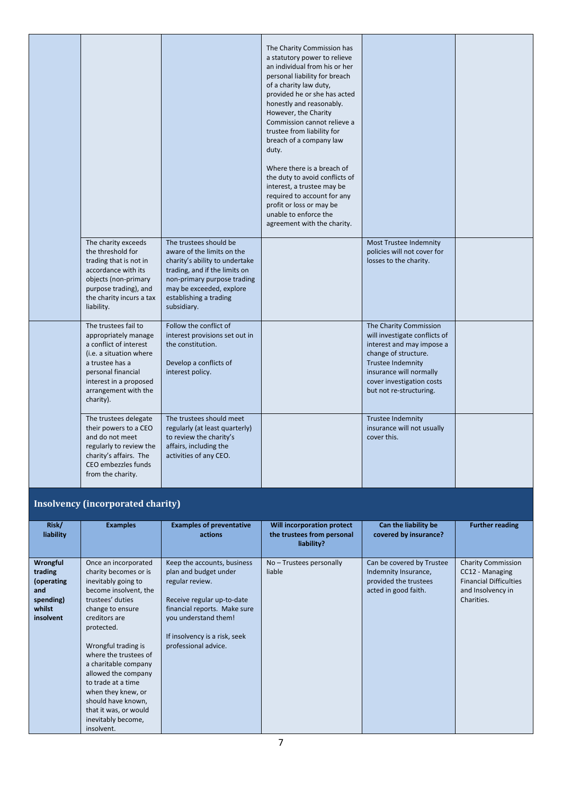|                                                                                                                                                                                                           |                                                                                                                                                                                                                             | The Charity Commission has<br>a statutory power to relieve<br>an individual from his or her<br>personal liability for breach<br>of a charity law duty,<br>provided he or she has acted<br>honestly and reasonably.<br>However, the Charity<br>Commission cannot relieve a<br>trustee from liability for<br>breach of a company law<br>duty.<br>Where there is a breach of<br>the duty to avoid conflicts of<br>interest, a trustee may be<br>required to account for any<br>profit or loss or may be<br>unable to enforce the<br>agreement with the charity. |                                                                                                                                                                                                                             |  |
|-----------------------------------------------------------------------------------------------------------------------------------------------------------------------------------------------------------|-----------------------------------------------------------------------------------------------------------------------------------------------------------------------------------------------------------------------------|--------------------------------------------------------------------------------------------------------------------------------------------------------------------------------------------------------------------------------------------------------------------------------------------------------------------------------------------------------------------------------------------------------------------------------------------------------------------------------------------------------------------------------------------------------------|-----------------------------------------------------------------------------------------------------------------------------------------------------------------------------------------------------------------------------|--|
| The charity exceeds<br>the threshold for<br>trading that is not in<br>accordance with its<br>objects (non-primary<br>purpose trading), and<br>the charity incurs a tax<br>liability.                      | The trustees should be<br>aware of the limits on the<br>charity's ability to undertake<br>trading, and if the limits on<br>non-primary purpose trading<br>may be exceeded, explore<br>establishing a trading<br>subsidiary. |                                                                                                                                                                                                                                                                                                                                                                                                                                                                                                                                                              | Most Trustee Indemnity<br>policies will not cover for<br>losses to the charity.                                                                                                                                             |  |
| The trustees fail to<br>appropriately manage<br>a conflict of interest<br>(i.e. a situation where<br>a trustee has a<br>personal financial<br>interest in a proposed<br>arrangement with the<br>charity). | Follow the conflict of<br>interest provisions set out in<br>the constitution.<br>Develop a conflicts of<br>interest policy.                                                                                                 |                                                                                                                                                                                                                                                                                                                                                                                                                                                                                                                                                              | The Charity Commission<br>will investigate conflicts of<br>interest and may impose a<br>change of structure.<br><b>Trustee Indemnity</b><br>insurance will normally<br>cover investigation costs<br>but not re-structuring. |  |
| The trustees delegate<br>their powers to a CEO<br>and do not meet<br>regularly to review the<br>charity's affairs. The<br>CEO embezzles funds<br>from the charity.                                        | The trustees should meet<br>regularly (at least quarterly)<br>to review the charity's<br>affairs, including the<br>activities of any CEO.                                                                                   |                                                                                                                                                                                                                                                                                                                                                                                                                                                                                                                                                              | <b>Trustee Indemnity</b><br>insurance will not usually<br>cover this.                                                                                                                                                       |  |

#### **Insolvency (incorporated charity)**

| Risk/<br>liability                                                           | <b>Examples</b>                                                                                                                                                                                                                                                                                                                                                                                    | <b>Examples of preventative</b><br>actions                                                                                                                                                                             | Will incorporation protect<br>the trustees from personal<br>liability? | Can the liability be<br>covered by insurance?                                                      | <b>Further reading</b>                                                                                           |
|------------------------------------------------------------------------------|----------------------------------------------------------------------------------------------------------------------------------------------------------------------------------------------------------------------------------------------------------------------------------------------------------------------------------------------------------------------------------------------------|------------------------------------------------------------------------------------------------------------------------------------------------------------------------------------------------------------------------|------------------------------------------------------------------------|----------------------------------------------------------------------------------------------------|------------------------------------------------------------------------------------------------------------------|
| Wrongful<br>trading<br>(operating<br>and<br>spending)<br>whilst<br>insolvent | Once an incorporated<br>charity becomes or is<br>inevitably going to<br>become insolvent, the<br>trustees' duties<br>change to ensure<br>creditors are<br>protected.<br>Wrongful trading is<br>where the trustees of<br>a charitable company<br>allowed the company<br>to trade at a time<br>when they knew, or<br>should have known,<br>that it was, or would<br>inevitably become,<br>insolvent. | Keep the accounts, business<br>plan and budget under<br>regular review.<br>Receive regular up-to-date<br>financial reports. Make sure<br>you understand them!<br>If insolvency is a risk, seek<br>professional advice. | No-Trustees personally<br>liable                                       | Can be covered by Trustee<br>Indemnity Insurance,<br>provided the trustees<br>acted in good faith. | <b>Charity Commission</b><br>CC12 - Managing<br><b>Financial Difficulties</b><br>and Insolvency in<br>Charities. |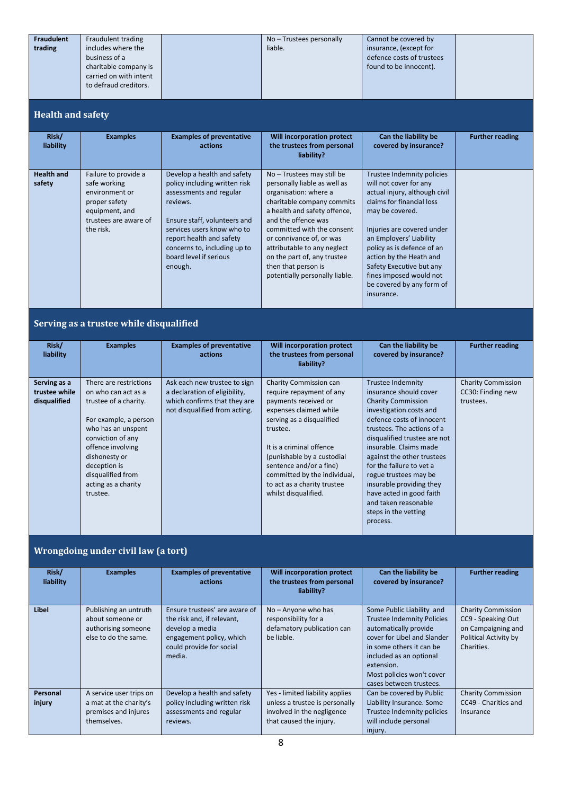| <b>Fraudulent</b> | Fraudulent trading     | No – Trustees personally | Cannot be covered by      |  |
|-------------------|------------------------|--------------------------|---------------------------|--|
| trading           | includes where the     | liable.                  | insurance, (except for    |  |
|                   | business of a          |                          | defence costs of trustees |  |
|                   | charitable company is  |                          | found to be innocent).    |  |
|                   | carried on with intent |                          |                           |  |
|                   | to defraud creditors.  |                          |                           |  |
|                   |                        |                          |                           |  |

#### **Health and safety**

| Risk/<br>liability          | <b>Examples</b>                                                                                                                 | <b>Examples of preventative</b><br>actions                                                                                                                                                                                                                         | Will incorporation protect<br>the trustees from personal<br>liability?                                                                                                                                                                                                                                                                                    | Can the liability be<br>covered by insurance?                                                                                                                                                                                                                                                                                                             | <b>Further reading</b> |
|-----------------------------|---------------------------------------------------------------------------------------------------------------------------------|--------------------------------------------------------------------------------------------------------------------------------------------------------------------------------------------------------------------------------------------------------------------|-----------------------------------------------------------------------------------------------------------------------------------------------------------------------------------------------------------------------------------------------------------------------------------------------------------------------------------------------------------|-----------------------------------------------------------------------------------------------------------------------------------------------------------------------------------------------------------------------------------------------------------------------------------------------------------------------------------------------------------|------------------------|
| <b>Health and</b><br>safety | Failure to provide a<br>safe working<br>environment or<br>proper safety<br>equipment, and<br>trustees are aware of<br>the risk. | Develop a health and safety<br>policy including written risk<br>assessments and regular<br>reviews.<br>Ensure staff, volunteers and<br>services users know who to<br>report health and safety<br>concerns to, including up to<br>board level if serious<br>enough. | No - Trustees may still be<br>personally liable as well as<br>organisation: where a<br>charitable company commits<br>a health and safety offence,<br>and the offence was<br>committed with the consent<br>or connivance of, or was<br>attributable to any neglect<br>on the part of, any trustee<br>then that person is<br>potentially personally liable. | Trustee Indemnity policies<br>will not cover for any<br>actual injury, although civil<br>claims for financial loss<br>may be covered.<br>Injuries are covered under<br>an Employers' Liability<br>policy as is defence of an<br>action by the Heath and<br>Safety Executive but any<br>fines imposed would not<br>be covered by any form of<br>insurance. |                        |

## **Serving as a trustee while disqualified**

| Risk/<br>liability                            | <b>Examples</b>                                                                                                                                                                                                                                          | <b>Examples of preventative</b><br>actions                                                                                     | Will incorporation protect<br>the trustees from personal<br>liability?                                                                                                                                                                                                                                                    | Can the liability be<br>covered by insurance?                                                                                                                                                                                                                                                                                                                                                                                          | <b>Further reading</b>                                      |
|-----------------------------------------------|----------------------------------------------------------------------------------------------------------------------------------------------------------------------------------------------------------------------------------------------------------|--------------------------------------------------------------------------------------------------------------------------------|---------------------------------------------------------------------------------------------------------------------------------------------------------------------------------------------------------------------------------------------------------------------------------------------------------------------------|----------------------------------------------------------------------------------------------------------------------------------------------------------------------------------------------------------------------------------------------------------------------------------------------------------------------------------------------------------------------------------------------------------------------------------------|-------------------------------------------------------------|
| Serving as a<br>trustee while<br>disqualified | There are restrictions<br>on who can act as a<br>trustee of a charity.<br>For example, a person<br>who has an unspent<br>conviction of any<br>offence involving<br>dishonesty or<br>deception is<br>disqualified from<br>acting as a charity<br>trustee. | Ask each new trustee to sign<br>a declaration of eligibility,<br>which confirms that they are<br>not disqualified from acting. | Charity Commission can<br>require repayment of any<br>payments received or<br>expenses claimed while<br>serving as a disqualified<br>trustee.<br>It is a criminal offence<br>(punishable by a custodial<br>sentence and/or a fine)<br>committed by the individual,<br>to act as a charity trustee<br>whilst disqualified. | <b>Trustee Indemnity</b><br>insurance should cover<br><b>Charity Commission</b><br>investigation costs and<br>defence costs of innocent<br>trustees. The actions of a<br>disqualified trustee are not<br>insurable. Claims made<br>against the other trustees<br>for the failure to yet a<br>rogue trustees may be<br>insurable providing they<br>have acted in good faith<br>and taken reasonable<br>steps in the vetting<br>process. | <b>Charity Commission</b><br>CC30: Finding new<br>trustees. |

#### **Wrongdoing under civil law (a tort)**

| Risk/<br>liability | <b>Examples</b>                                                                          | <b>Examples of preventative</b><br>actions                                                                                                       | Will incorporation protect<br>the trustees from personal<br>liability?                                                     | Can the liability be<br>covered by insurance?                                                                                                                                                                                                       | <b>Further reading</b>                                                                                       |
|--------------------|------------------------------------------------------------------------------------------|--------------------------------------------------------------------------------------------------------------------------------------------------|----------------------------------------------------------------------------------------------------------------------------|-----------------------------------------------------------------------------------------------------------------------------------------------------------------------------------------------------------------------------------------------------|--------------------------------------------------------------------------------------------------------------|
| Libel              | Publishing an untruth<br>about someone or<br>authorising someone<br>else to do the same. | Ensure trustees' are aware of<br>the risk and, if relevant,<br>develop a media<br>engagement policy, which<br>could provide for social<br>media. | $No - Anyone who has$<br>responsibility for a<br>defamatory publication can<br>be liable.                                  | Some Public Liability and<br><b>Trustee Indemnity Policies</b><br>automatically provide<br>cover for Libel and Slander<br>in some others it can be<br>included as an optional<br>extension.<br>Most policies won't cover<br>cases between trustees. | <b>Charity Commission</b><br>CC9 - Speaking Out<br>on Campaigning and<br>Political Activity by<br>Charities. |
| Personal<br>injury | A service user trips on<br>a mat at the charity's<br>premises and injures<br>themselves. | Develop a health and safety<br>policy including written risk<br>assessments and regular<br>reviews.                                              | Yes - limited liability applies<br>unless a trustee is personally<br>involved in the negligence<br>that caused the injury. | Can be covered by Public<br>Liability Insurance. Some<br>Trustee Indemnity policies<br>will include personal<br>injury.                                                                                                                             | <b>Charity Commission</b><br>CC49 - Charities and<br>Insurance                                               |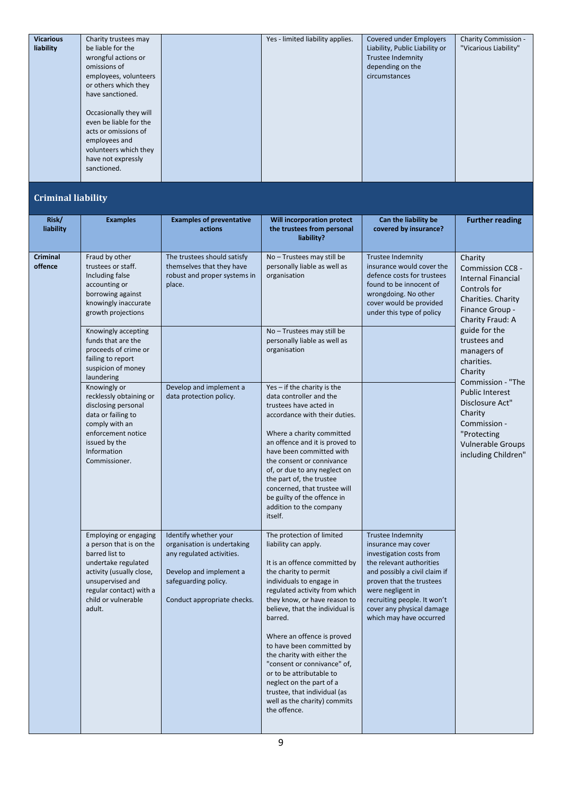| <b>Vicarious</b> | Charity trustees may   | Yes - limited liability applies. | Covered under Employers        | Charity Commission -  |
|------------------|------------------------|----------------------------------|--------------------------------|-----------------------|
| liability        | be liable for the      |                                  | Liability, Public Liability or | "Vicarious Liability" |
|                  | wrongful actions or    |                                  | Trustee Indemnity              |                       |
|                  | omissions of           |                                  | depending on the               |                       |
|                  | employees, volunteers  |                                  | circumstances                  |                       |
|                  | or others which they   |                                  |                                |                       |
|                  | have sanctioned.       |                                  |                                |                       |
|                  |                        |                                  |                                |                       |
|                  | Occasionally they will |                                  |                                |                       |
|                  | even be liable for the |                                  |                                |                       |
|                  | acts or omissions of   |                                  |                                |                       |
|                  | employees and          |                                  |                                |                       |
|                  | volunteers which they  |                                  |                                |                       |
|                  | have not expressly     |                                  |                                |                       |
|                  | sanctioned.            |                                  |                                |                       |
|                  |                        |                                  |                                |                       |

#### **Criminal liability**

| Risk/<br>liability         | <b>Examples</b>                                                                                                                                                                                       | <b>Examples of preventative</b><br>actions                                                                                                                          | <b>Will incorporation protect</b><br>the trustees from personal<br>liability?                                                                                                                                                                                                                                                                                                                                                                                                                                           | Can the liability be<br>covered by insurance?                                                                                                                                                                                                                                    | <b>Further reading</b>                                                                                                                                      |
|----------------------------|-------------------------------------------------------------------------------------------------------------------------------------------------------------------------------------------------------|---------------------------------------------------------------------------------------------------------------------------------------------------------------------|-------------------------------------------------------------------------------------------------------------------------------------------------------------------------------------------------------------------------------------------------------------------------------------------------------------------------------------------------------------------------------------------------------------------------------------------------------------------------------------------------------------------------|----------------------------------------------------------------------------------------------------------------------------------------------------------------------------------------------------------------------------------------------------------------------------------|-------------------------------------------------------------------------------------------------------------------------------------------------------------|
| <b>Criminal</b><br>offence | Fraud by other<br>trustees or staff.<br>Including false<br>accounting or<br>borrowing against<br>knowingly inaccurate<br>growth projections                                                           | The trustees should satisfy<br>themselves that they have<br>robust and proper systems in<br>place.                                                                  | No-Trustees may still be<br>personally liable as well as<br>organisation                                                                                                                                                                                                                                                                                                                                                                                                                                                | <b>Trustee Indemnity</b><br>insurance would cover the<br>defence costs for trustees<br>found to be innocent of<br>wrongdoing. No other<br>cover would be provided<br>under this type of policy                                                                                   | Charity<br>Commission CC8 -<br><b>Internal Financial</b><br>Controls for<br>Charities. Charity<br>Finance Group -<br>Charity Fraud: A                       |
|                            | Knowingly accepting<br>funds that are the<br>proceeds of crime or<br>failing to report<br>suspicion of money<br>laundering                                                                            |                                                                                                                                                                     | No - Trustees may still be<br>personally liable as well as<br>organisation                                                                                                                                                                                                                                                                                                                                                                                                                                              |                                                                                                                                                                                                                                                                                  | guide for the<br>trustees and<br>managers of<br>charities.<br>Charity                                                                                       |
|                            | Knowingly or<br>recklessly obtaining or<br>disclosing personal<br>data or failing to<br>comply with an<br>enforcement notice<br>issued by the<br>Information<br>Commissioner.                         | Develop and implement a<br>data protection policy.                                                                                                                  | Yes - if the charity is the<br>data controller and the<br>trustees have acted in<br>accordance with their duties.<br>Where a charity committed<br>an offence and it is proved to<br>have been committed with<br>the consent or connivance<br>of, or due to any neglect on<br>the part of, the trustee<br>concerned, that trustee will<br>be guilty of the offence in<br>addition to the company<br>itself.                                                                                                              |                                                                                                                                                                                                                                                                                  | Commission - "The<br><b>Public Interest</b><br>Disclosure Act"<br>Charity<br>Commission -<br>"Protecting<br><b>Vulnerable Groups</b><br>including Children" |
|                            | Employing or engaging<br>a person that is on the<br>barred list to<br>undertake regulated<br>activity (usually close,<br>unsupervised and<br>regular contact) with a<br>child or vulnerable<br>adult. | Identify whether your<br>organisation is undertaking<br>any regulated activities.<br>Develop and implement a<br>safeguarding policy.<br>Conduct appropriate checks. | The protection of limited<br>liability can apply.<br>It is an offence committed by<br>the charity to permit<br>individuals to engage in<br>regulated activity from which<br>they know, or have reason to<br>believe, that the individual is<br>barred.<br>Where an offence is proved<br>to have been committed by<br>the charity with either the<br>"consent or connivance" of.<br>or to be attributable to<br>neglect on the part of a<br>trustee, that individual (as<br>well as the charity) commits<br>the offence. | <b>Trustee Indemnity</b><br>insurance may cover<br>investigation costs from<br>the relevant authorities<br>and possibly a civil claim if<br>proven that the trustees<br>were negligent in<br>recruiting people. It won't<br>cover any physical damage<br>which may have occurred |                                                                                                                                                             |